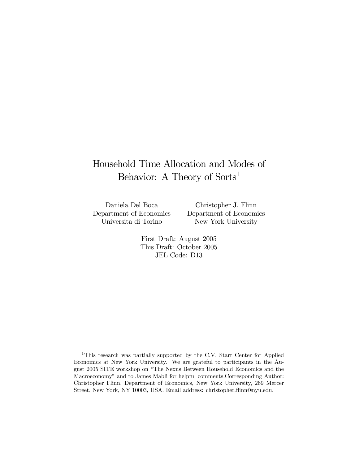# Household Time Allocation and Modes of Behavior: A Theory of Sorts<sup>1</sup>

Daniela Del Boca Department of Economics Universita di Torino

Christopher J. Flinn Department of Economics New York University

First Draft: August 2005 This Draft: October 2005 JEL Code: D13

<sup>1</sup>This research was partially supported by the C.V. Starr Center for Applied Economics at New York University. We are grateful to participants in the August 2005 SITE workshop on "The Nexus Between Household Economics and the Macroeconomy" and to James Mabli for helpful comments.Corresponding Author: Christopher Flinn, Department of Economics, New York University, 269 Mercer Street, New York, NY 10003, USA. Email address: christopher.flinn@nyu.edu.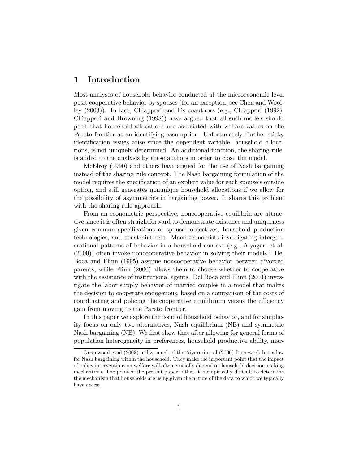# 1 Introduction

Most analyses of household behavior conducted at the microeconomic level posit cooperative behavior by spouses (for an exception, see Chen and Woolley (2003)). In fact, Chiappori and his coauthors (e.g., Chiappori (1992), Chiappori and Browning (1998)) have argued that all such models should posit that household allocations are associated with welfare values on the Pareto frontier as an identifying assumption. Unfortunately, further sticky identification issues arise since the dependent variable, household allocations, is not uniquely determined. An additional function, the sharing rule, is added to the analysis by these authors in order to close the model.

McElroy (1990) and others have argued for the use of Nash bargaining instead of the sharing rule concept. The Nash bargaining formulation of the model requires the specification of an explicit value for each spouse's outside option, and still generates nonunique household allocations if we allow for the possibility of asymmetries in bargaining power. It shares this problem with the sharing rule approach.

From an econometric perspective, noncooperative equilibria are attractive since it is often straightforward to demonstrate existence and uniqueness given common specifications of spousal objectives, household production technologies, and constraint sets. Macroeconomists investigating intergenerational patterns of behavior in a household context (e.g., Aiyagari et al.  $(2000)$  often invoke noncooperative behavior in solving their models.<sup>1</sup> Del Boca and Flinn (1995) assume noncooperative behavior between divorced parents, while Flinn (2000) allows them to choose whether to cooperative with the assistance of institutional agents. Del Boca and Flinn (2004) investigate the labor supply behavior of married couples in a model that makes the decision to cooperate endogenous, based on a comparison of the costs of coordinating and policing the cooperative equilibrium versus the efficiency gain from moving to the Pareto frontier.

In this paper we explore the issue of household behavior, and for simplicity focus on only two alternatives, Nash equilibrium (NE) and symmetric Nash bargaining (NB). We first show that after allowing for general forms of population heterogeneity in preferences, household productive ability, mar-

<sup>&</sup>lt;sup>1</sup>Greenwood et al (2003) utilize much of the Aiyarari et al (2000) framework but allow for Nash bargaining within the household. They make the important point that the impact of policy interventions on welfare will often crucially depend on household decision-making mechanisms. The point of the present paper is that it is empirically difficult to determine the mechanism that households are using given the nature of the data to which we typically have access.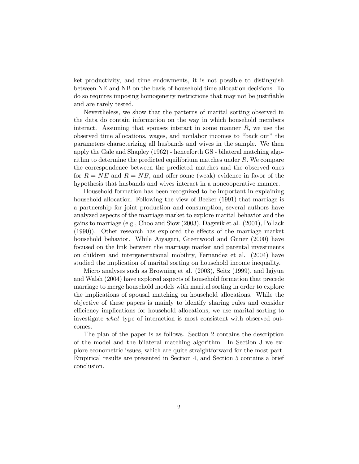ket productivity, and time endowments, it is not possible to distinguish between NE and NB on the basis of household time allocation decisions. To do so requires imposing homogeneity restrictions that may not be justifiable and are rarely tested.

Nevertheless, we show that the patterns of marital sorting observed in the data do contain information on the way in which household members interact. Assuming that spouses interact in some manner  $R$ , we use the observed time allocations, wages, and nonlabor incomes to "back out" the parameters characterizing all husbands and wives in the sample. We then apply the Gale and Shapley (1962) - henceforth GS - bilateral matching algorithm to determine the predicted equilibrium matches under R. We compare the correspondence between the predicted matches and the observed ones for  $R = NE$  and  $R = NB$ , and offer some (weak) evidence in favor of the hypothesis that husbands and wives interact in a noncooperative manner.

Household formation has been recognized to be important in explaining household allocation. Following the view of Becker (1991) that marriage is a partnership for joint production and consumption, several authors have analyzed aspects of the marriage market to explore marital behavior and the gains to marriage (e.g., Choo and Siow (2003), Dagsvik et al. (2001), Pollack (1990)). Other research has explored the effects of the marriage market household behavior. While Aiyagari, Greenwood and Guner (2000) have focused on the link between the marriage market and parental investments on children and intergenerational mobility, Fernandez et al. (2004) have studied the implication of marital sorting on household income inequality.

Micro analyses such as Browning et al. (2003), Seitz (1999), and Igiyun and Walsh (2004) have explored aspects of household formation that precede marriage to merge household models with marital sorting in order to explore the implications of spousal matching on household allocations. While the objective of these papers is mainly to identify sharing rules and consider efficiency implications for household allocations, we use marital sorting to investigate what type of interaction is most consistent with observed outcomes.

The plan of the paper is as follows. Section 2 contains the description of the model and the bilateral matching algorithm. In Section 3 we explore econometric issues, which are quite straightforward for the most part. Empirical results are presented in Section 4, and Section 5 contains a brief conclusion.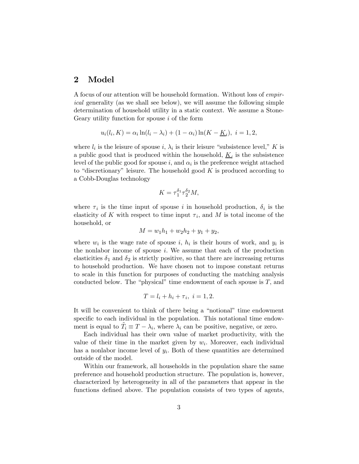# 2 Model

A focus of our attention will be household formation. Without loss of empirical generality (as we shall see below), we will assume the following simple determination of household utility in a static context. We assume a Stone-Geary utility function for spouse i of the form

$$
u_i(l_i, K) = \alpha_i \ln(l_i - \lambda_i) + (1 - \alpha_i) \ln(K - \underline{K}_i), \ i = 1, 2,
$$

where  $l_i$  is the leisure of spouse i,  $\lambda_i$  is their leisure "subsistence level," K is a public good that is produced within the household,  $K_i$  is the subsistence level of the public good for spouse i, and  $\alpha_i$  is the preference weight attached to "discretionary" leisure. The household good  $K$  is produced according to a Cobb-Douglas technology

$$
K = \tau_1^{\delta_1} \tau_2^{\delta_2} M,
$$

where  $\tau_i$  is the time input of spouse i in household production,  $\delta_i$  is the elasticity of K with respect to time input  $\tau_i$ , and M is total income of the household, or

$$
M = w_1 h_1 + w_2 h_2 + y_1 + y_2,
$$

where  $w_i$  is the wage rate of spouse i,  $h_i$  is their hours of work, and  $y_i$  is the nonlabor income of spouse  $i$ . We assume that each of the production elasticities  $\delta_1$  and  $\delta_2$  is strictly positive, so that there are increasing returns to household production. We have chosen not to impose constant returns to scale in this function for purposes of conducting the matching analysis conducted below. The "physical" time endowment of each spouse is  $T$ , and

$$
T = l_i + h_i + \tau_i, \ i = 1, 2.
$$

It will be convenient to think of there being a "notional" time endowment specific to each individual in the population. This notational time endowment is equal to  $\tilde{T}_i \equiv T - \lambda_i$ , where  $\lambda_i$  can be positive, negative, or zero.

Each individual has their own value of market productivity, with the value of their time in the market given by  $w_i$ . Moreover, each individual has a nonlabor income level of  $y_i$ . Both of these quantities are determined outside of the model.

Within our framework, all households in the population share the same preference and household production structure. The population is, however, characterized by heterogeneity in all of the parameters that appear in the functions defined above. The population consists of two types of agents,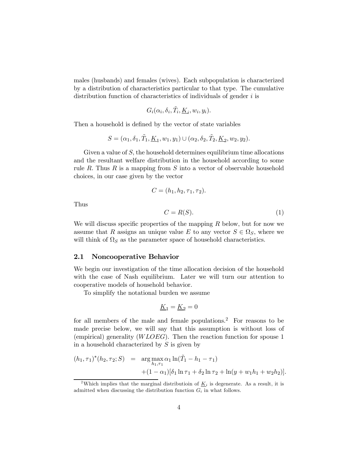males (husbands) and females (wives). Each subpopulation is characterized by a distribution of characteristics particular to that type. The cumulative distribution function of characteristics of individuals of gender  $i$  is

$$
G_i(\alpha_i, \delta_i, \tilde{T}_i, \underline{K}_i, w_i, y_i).
$$

Then a household is defined by the vector of state variables

$$
S=(\alpha_1,\delta_1,\tilde{T}_1,\underline{K}_1,w_1,y_1)\cup(\alpha_2,\delta_2,\tilde{T}_2,\underline{K}_2,w_2,y_2).
$$

Given a value of S, the household determines equilibrium time allocations and the resultant welfare distribution in the household according to some rule  $R$ . Thus  $R$  is a mapping from  $S$  into a vector of observable household choices, in our case given by the vector

$$
C=(h_1,h_2,\tau_1,\tau_2).
$$

Thus

$$
C = R(S). \tag{1}
$$

We will discuss specific properties of the mapping  $R$  below, but for now we assume that R assigns an unique value E to any vector  $S \in \Omega_S$ , where we will think of  $\Omega_S$  as the parameter space of household characteristics.

#### 2.1 Noncooperative Behavior

We begin our investigation of the time allocation decision of the household with the case of Nash equilibrium. Later we will turn our attention to cooperative models of household behavior.

To simplify the notational burden we assume

$$
\underline{K}_1 = \underline{K}_2 = 0
$$

for all members of the male and female populations.<sup>2</sup> For reasons to be made precise below, we will say that this assumption is without loss of (empirical) generality  $(WLOEG)$ . Then the reaction function for spouse 1 in a household characterized by  $S$  is given by

$$
(h_1, \tau_1)^*(h_2, \tau_2; S) = \arg \max_{h_1, \tau_1} \alpha_1 \ln(\tilde{T}_1 - h_1 - \tau_1) + (1 - \alpha_1)[\delta_1 \ln \tau_1 + \delta_2 \ln \tau_2 + \ln(y + w_1 h_1 + w_2 h_2)].
$$

<sup>&</sup>lt;sup>2</sup>Which implies that the marginal distribution of  $K_i$  is degenerate. As a result, it is admitted when discussing the distribution function  $G_i$  in what follows.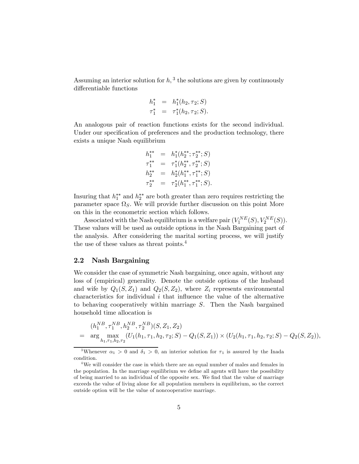Assuming an interior solution for  $h$ ,  $3$  the solutions are given by continuously differentiable functions

$$
h_1^* = h_1^*(h_2, \tau_2; S)
$$
  

$$
\tau_1^* = \tau_1^*(h_2, \tau_2; S).
$$

An analogous pair of reaction functions exists for the second individual. Under our specification of preferences and the production technology, there exists a unique Nash equilibrium

$$
h_1^{**} = h_1^*(h_2^{**}; \tau_2^{**}; S)
$$
  
\n
$$
\tau_1^{**} = \tau_1^*(h_2^{**}, \tau_2^{**}; S)
$$
  
\n
$$
h_2^{**} = h_2^*(h_1^{**}, \tau_1^{**}; S)
$$
  
\n
$$
\tau_2^{**} = \tau_2^*(h_1^{**}, \tau_1^{**}; S).
$$

Insuring that  $h_1^{**}$  and  $h_2^{**}$  are both greater than zero requires restricting the parameter space  $\Omega_S$ . We will provide further discussion on this point More on this in the econometric section which follows.

Associated with the Nash equilibrium is a welfare pair  $(V_1^{NE}(S), V_2^{NE}(S))$ . These values will be used as outside options in the Nash Bargaining part of the analysis. After considering the marital sorting process, we will justify the use of these values as threat points.<sup>4</sup>

### 2.2 Nash Bargaining

We consider the case of symmetric Nash bargaining, once again, without any loss of (empirical) generality. Denote the outside options of the husband and wife by  $Q_1(S, Z_1)$  and  $Q_2(S, Z_2)$ , where  $Z_i$  represents environmental characteristics for individual  $i$  that influence the value of the alternative to behaving cooperatively within marriage S. Then the Nash bargained household time allocation is

$$
(h_1^{NB}, \tau_1^{NB}, h_2^{NB}, \tau_2^{NB})(S, Z_1, Z_2)
$$
  
= arg max  $\underset{h_1, \tau_1, h_2, \tau_2}{\text{max}} (U_1(h_1, \tau_1, h_2, \tau_2; S) - Q_1(S, Z_1)) \times (U_2(h_1, \tau_1, h_2, \tau_2; S) - Q_2(S, Z_2)),$ 

<sup>&</sup>lt;sup>3</sup>Whenever  $\alpha_1 > 0$  and  $\delta_1 > 0$ , an interior solution for  $\tau_1$  is assured by the Inada condition.

<sup>&</sup>lt;sup>4</sup>We will consider the case in which there are an equal number of males and females in the population. In the marriage equilibrium we define all agents will have the possibility of being married to an individual of the opposite sex. We find that the value of marriage exceeds the value of living alone for all population members in equilibrium, so the correct outside option will be the value of noncooperative marriage.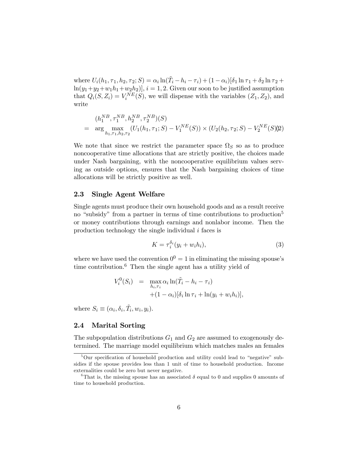where  $U_i(h_1, \tau_1, h_2, \tau_2; S) = \alpha_i \ln(\tilde{T}_i - h_i - \tau_i) + (1 - \alpha_i)[\delta_1 \ln \tau_1 + \delta_2 \ln \tau_2 +$  $\ln(y_1+y_2+w_1h_1+w_2h_2)$ ,  $i=1,2$ . Given our soon to be justified assumption that  $Q_i(S, Z_i) = V_i^{NE}(S)$ , we will dispense with the variables  $(Z_1, Z_2)$ , and write

$$
(h_1^{NB}, \tau_1^{NB}, h_2^{NB}, \tau_2^{NB})(S)
$$
  
= arg max  $\max_{h_1, \tau_1, h_2, \tau_2} (U_1(h_1, \tau_1; S) - V_1^{NE}(S)) \times (U_2(h_2, \tau_2; S) - V_2^{NE}(S))2$ 

We note that since we restrict the parameter space  $\Omega_S$  so as to produce noncooperative time allocations that are strictly positive, the choices made under Nash bargaining, with the noncooperative equilibrium values serving as outside options, ensures that the Nash bargaining choices of time allocations will be strictly positive as well.

### 2.3 Single Agent Welfare

Single agents must produce their own household goods and as a result receive no "subsidy" from a partner in terms of time contributions to production<sup>5</sup> or money contributions through earnings and nonlabor income. Then the production technology the single individual  $i$  faces is

$$
K = \tau_i^{\delta_i}(y_i + w_i h_i), \tag{3}
$$

where we have used the convention  $0^0 = 1$  in eliminating the missing spouse's time contribution.<sup>6</sup> Then the single agent has a utility yield of

$$
V_i^0(S_i) = \max_{h_i, \tau_i} \alpha_i \ln(\tilde{T}_i - h_i - \tau_i)
$$
  
 
$$
+ (1 - \alpha_i)[\delta_i \ln \tau_i + \ln(y_i + w_i h_i)],
$$

where  $S_i \equiv (\alpha_i, \delta_i, \tilde{T}_i, w_i, y_i)$ .

#### 2.4 Marital Sorting

The subpopulation distributions  $G_1$  and  $G_2$  are assumed to exogenously determined. The marriage model equilibrium which matches males an females

<sup>&</sup>lt;sup>5</sup>Our specification of household production and utility could lead to "negative" subsidies if the spouse provides less than 1 unit of time to household production. Income externalities could be zero but never negative.

<sup>&</sup>lt;sup>6</sup>That is, the missing spouse has an associated  $\delta$  equal to 0 and supplies 0 amounts of time to household production.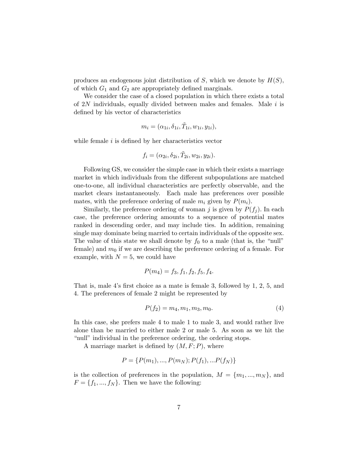produces an endogenous joint distribution of S, which we denote by  $H(S)$ , of which  $G_1$  and  $G_2$  are appropriately defined marginals.

We consider the case of a closed population in which there exists a total of  $2N$  individuals, equally divided between males and females. Male i is defined by his vector of characteristics

$$
m_i=(\alpha_{1i},\delta_{1i},\tilde{T}_{1i},w_{1i},y_{1i}),
$$

while female  $i$  is defined by her characteristics vector

$$
f_i = (\alpha_{2i}, \delta_{2i}, \tilde{T}_{2i}, w_{2i}, y_{2i}).
$$

Following GS, we consider the simple case in which their exists a marriage market in which individuals from the different subpopulations are matched one-to-one, all individual characteristics are perfectly observable, and the market clears instantaneously. Each male has preferences over possible mates, with the preference ordering of male  $m_i$  given by  $P(m_i)$ .

Similarly, the preference ordering of woman j is given by  $P(f_i)$ . In each case, the preference ordering amounts to a sequence of potential mates ranked in descending order, and may include ties. In addition, remaining single may dominate being married to certain individuals of the opposite sex. The value of this state we shall denote by  $f_0$  to a male (that is, the "null" female) and  $m_0$  if we are describing the preference ordering of a female. For example, with  $N = 5$ , we could have

$$
P(m_4) = f_3, f_1, f_2, f_5, f_4.
$$

That is, male 4's first choice as a mate is female 3, followed by 1, 2, 5, and 4. The preferences of female 2 might be represented by

$$
P(f_2) = m_4, m_1, m_3, m_0. \tag{4}
$$

In this case, she prefers male 4 to male 1 to male 3, and would rather live alone than be married to either male 2 or male 5. As soon as we hit the "null" individual in the preference ordering, the ordering stops.

A marriage market is defined by  $(M, F; P)$ , where

$$
P = \{P(m_1), ..., P(m_N); P(f_1), ... P(f_N)\}
$$

is the collection of preferences in the population,  $M = \{m_1, ..., m_N\}$ , and  $F = \{f_1, ..., f_N\}$ . Then we have the following: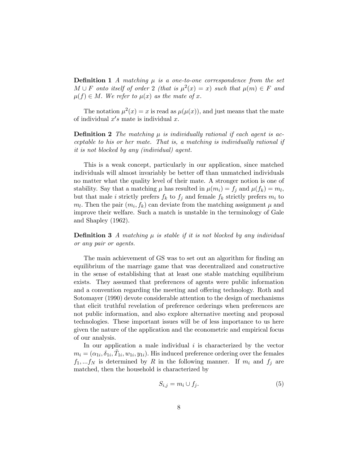**Definition 1** A matching  $\mu$  is a one-to-one correspondence from the set  $M \cup F$  onto itself of order 2 (that is  $\mu^2(x) = x$ ) such that  $\mu(m) \in F$  and  $\mu(f) \in M$ . We refer to  $\mu(x)$  as the mate of x.

The notation  $\mu^2(x) = x$  is read as  $\mu(\mu(x))$ , and just means that the mate of individual  $x's$  mate is individual x.

**Definition 2** The matching  $\mu$  is individually rational if each agent is acceptable to his or her mate. That is, a matching is individually rational if it is not blocked by any (individual) agent.

This is a weak concept, particularly in our application, since matched individuals will almost invariably be better off than unmatched individuals no matter what the quality level of their mate. A stronger notion is one of stability. Say that a matching  $\mu$  has resulted in  $\mu(m_i) = f_j$  and  $\mu(f_k) = m_l$ , but that male *i* strictly prefers  $f_k$  to  $f_j$  and female  $f_k$  strictly prefers  $m_i$  to  $m_l$ . Then the pair  $(m_i, f_k)$  can deviate from the matching assignment  $\mu$  and improve their welfare. Such a match is unstable in the terminology of Gale and Shapley (1962).

**Definition 3** A matching  $\mu$  is stable if it is not blocked by any individual or any pair or agents.

The main achievement of GS was to set out an algorithm for finding an equilibrium of the marriage game that was decentralized and constructive in the sense of establishing that at least one stable matching equilibrium exists. They assumed that preferences of agents were public information and a convention regarding the meeting and offering technology. Roth and Sotomayer (1990) devote considerable attention to the design of mechanisms that elicit truthful revelation of preference orderings when preferences are not public information, and also explore alternative meeting and proposal technologies. These important issues will be of less importance to us here given the nature of the application and the econometric and empirical focus of our analysis.

In our application a male individual  $i$  is characterized by the vector  $m_i = (\alpha_{1i}, \delta_{1i}, \tilde{T}_{1i}, w_{1i}, y_{1i}).$  His induced preference ordering over the females  $f_1,...f_N$  is determined by R in the following manner. If  $m_i$  and  $f_j$  are matched, then the household is characterized by

$$
S_{i,j} = m_i \cup f_j. \tag{5}
$$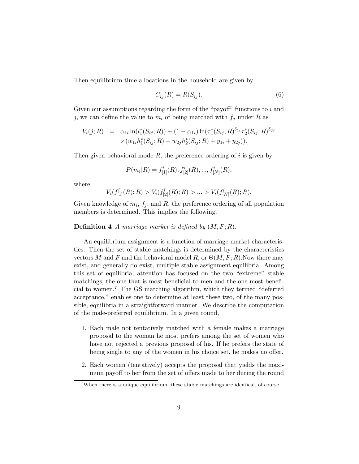Then equilibrium time allocations in the household are given by

$$
C_{ij}(R) = R(S_{ij}).\tag{6}
$$

Given our assumptions regarding the form of the "payoff" functions to  $i$  and j, we can define the value to  $m_i$  of being matched with  $f_i$  under R as

$$
V_i(j;R) = \alpha_{1i} \ln(l_1^*(S_{ij};R)) + (1 - \alpha_{1i}) \ln(\tau_1^*(S_{ij};R)^{\delta_{1i}} \tau_2^*(S_{ij};R)^{\delta_{2j}} \times (w_{1i}h_1^*(S_{ij};R) + w_{2j}h_2^*(S_{ij};R) + y_{1i} + y_{2j})).
$$

Then given behavioral mode  $R$ , the preference ordering of i is given by

$$
P(m_i|R) = f_{[1]}^i(R), f_{[2]}^i(R), ..., f_{[N]}^i(R),
$$

where

$$
V_i(f^i_{[1]}(R);R) > V_i(f^i_{[2]}(R);R) > \dots > V_i(f^i_{[N]}(R);R).
$$

Given knowledge of  $m_i$ ,  $f_j$ , and R, the preference ordering of all population members is determined. This implies the following.

#### **Definition 4** A marriage market is defined by  $(M, F; R)$ .

An equilibrium assignment is a function of marriage market characteristics. Then the set of stable matchings is determined by the characteristics vectors M and F and the behavioral model R, or  $\Theta(M, F; R)$ . Now there may exist, and generally do exist, multiple stable assignment equilibria. Among this set of equilibria, attention has focused on the two "extreme" stable matchings, the one that is most beneficial to men and the one most beneficial to women.7 The GS matching algorithm, which they termed "deferred acceptance," enables one to determine at least these two, of the many possible, equilibria in a straightforward manner. We describe the computation of the male-preferred equilibrium. In a given round,

- 1. Each male not tentatively matched with a female makes a marriage proposal to the woman he most prefers among the set of women who have not rejected a previous proposal of his. If he prefers the state of being single to any of the women in his choice set, he makes no offer.
- 2. Each woman (tentatively) accepts the proposal that yields the maximum payoff to her from the set of offers made to her during the round

<sup>&</sup>lt;sup>7</sup>When there is a unique equilibrium, these stable matchings are identical, of course.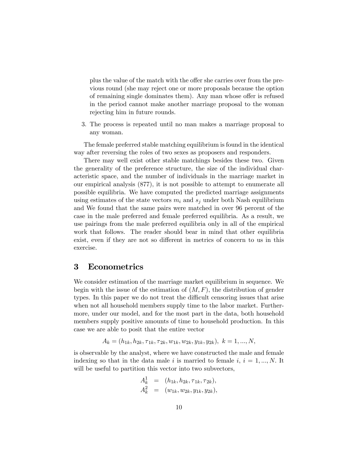plus the value of the match with the offer she carries over from the previous round (she may reject one or more proposals because the option of remaining single dominates them). Any man whose offer is refused in the period cannot make another marriage proposal to the woman rejecting him in future rounds.

3. The process is repeated until no man makes a marriage proposal to any woman.

The female preferred stable matching equilibrium is found in the identical way after reversing the roles of two sexes as proposers and responders.

There may well exist other stable matchings besides these two. Given the generality of the preference structure, the size of the individual characteristic space, and the number of individuals in the marriage market in our empirical analysis (877), it is not possible to attempt to enumerate all possible equilibria. We have computed the predicted marriage assignments using estimates of the state vectors  $m_i$  and  $s_j$  under both Nash equilibrium and We found that the same pairs were matched in over 96 percent of the case in the male preferred and female preferred equilibria. As a result, we use pairings from the male preferred equilibria only in all of the empirical work that follows. The reader should bear in mind that other equilibria exist, even if they are not so different in metrics of concern to us in this exercise.

### 3 Econometrics

We consider estimation of the marriage market equilibrium in sequence. We begin with the issue of the estimation of  $(M, F)$ , the distribution of gender types. In this paper we do not treat the difficult censoring issues that arise when not all household members supply time to the labor market. Furthermore, under our model, and for the most part in the data, both household members supply positive amounts of time to household production. In this case we are able to posit that the entire vector

$$
A_k = (h_{1k}, h_{2k}, \tau_{1k}, \tau_{2k}, w_{1k}, w_{2k}, y_{1k}, y_{2k}), \ k = 1, ..., N,
$$

is observable by the analyst, where we have constructed the male and female indexing so that in the data male i is married to female i,  $i = 1, ..., N$ . It will be useful to partition this vector into two subvectors,

$$
A_k^1 = (h_{1k}, h_{2k}, \tau_{1k}, \tau_{2k}), A_k^2 = (w_{1k}, w_{2k}, y_{1k}, y_{2k}),
$$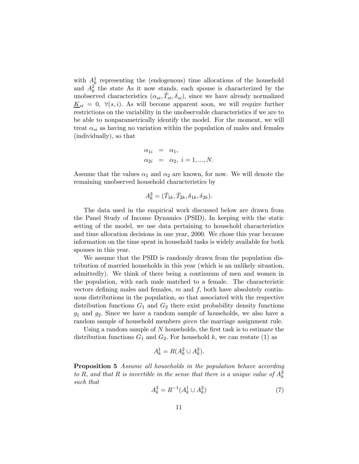with  $A^1_k$  representing the (endogenous) time allocations of the household and  $A_k^2$  the state As it now stands, each spouse is characterized by the unobserved characteristics  $(\alpha_{si}, \tilde{T}_{si}, \delta_{si})$ , since we have already normalized  $K_{si} = 0, \forall (s, i)$ . As will become apparent soon, we will require further restrictions on the variability in the unobservable characteristics if we are to be able to nonparametrically identify the model. For the moment, we will treat  $\alpha_{si}$  as having no variation within the population of males and females (individually), so that

$$
\alpha_{1i} = \alpha_1,\n\alpha_{2i} = \alpha_2, i = 1, ..., N.
$$

Assume that the values  $\alpha_1$  and  $\alpha_2$  are known, for now. We will denote the remaining unobserved household characteristics by

$$
A_k^3 = (\tilde{T}_{1k}, \tilde{T}_{2k}, \delta_{1k}, \delta_{2k}).
$$

The data used in the empirical work discussed below are drawn from the Panel Study of Income Dynamics (PSID). In keeping with the static setting of the model, we use data pertaining to household characteristics and time allocation decisions in one year, 2000. We chose this year because information on the time spent in household tasks is widely available for both spouses in this year.

We assume that the PSID is randomly drawn from the population distribution of married households in this year (which is an unlikely situation, admittedly). We think of there being a continuum of men and women in the population, with each male matched to a female. The characteristic vectors defining males and females,  $m$  and  $f$ , both have absolutely continuous distributions in the population, so that associated with the respective distribution functions  $G_1$  and  $G_2$  there exist probability density functions  $g_1$  and  $g_2$ . Since we have a random sample of households, we also have a random sample of household members *given* the marriage assignment rule.

Using a random sample of N households, the first task is to estimate the distribution functions  $G_1$  and  $G_2$ . For household k, we can restate (1) as

$$
A_k^1 = R(A_k^2 \cup A_k^3).
$$

Proposition 5 Assume all households in the population behave according to R, and that R is invertible in the sense that there is a unique value of  $A_k^3$ such that

$$
A_k^3 = R^{-1}(A_k^1 \cup A_k^2) \tag{7}
$$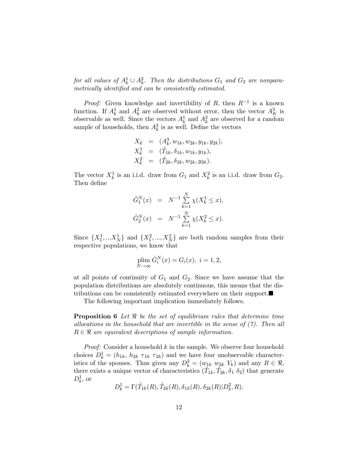for all values of  $A_k^1 \cup A_k^2$ . Then the distributions  $G_1$  and  $G_2$  are nonparametrically identified and can be consistently estimated.

*Proof:* Given knowledge and invertibility of R, then  $R^{-1}$  is a known function. If  $A_k^1$  and  $A_k^2$  are observed without error, then the vector  $A_K^3$  is observable as well. Since the vectors  $A_k^1$  and  $A_k^2$  are observed for a random sample of households, then  $A_k^3$  is as well. Define the vectors

$$
X_k = (A_k^3, w_{1k}, w_{2k}, y_{1k}, y_{2k}),
$$
  
\n
$$
X_k^1 = (\tilde{T}_{1k}, \delta_{1k}, w_{1k}, y_{1k}),
$$
  
\n
$$
X_k^2 = (\tilde{T}_{2k}, \delta_{2k}, w_{2k}, y_{2k}).
$$

The vector  $X_k^1$  is an i.i.d. draw from  $G_1$  and  $X_k^2$  is an i.i.d. draw from  $G_2$ . Then define

$$
\hat{G}_1^N(x) = N^{-1} \sum_{k=1}^N \chi(X_k^1 \le x),
$$
  

$$
\hat{G}_2^N(x) = N^{-1} \sum_{k=1}^N \chi(X_k^2 \le x).
$$

Since  $\{X_1^1, \ldots X_N^1\}$  and  $\{X_1^2, \ldots, X_N^2\}$  are both random samples from their respective populations, we know that

$$
\plim_{N \to \infty} \hat{G}_i^N(x) = G_i(x), \ i = 1, 2,
$$

at all points of continuity of  $G_1$  and  $G_2$ . Since we have assume that the population distributions are absolutely continuous, this means that the distributions can be consistently estimated everywhere on their support. $\blacksquare$ 

The following important implication immediately follows.

**Proposition 6** Let  $\Re$  be the set of equilibrium rules that determine time allocations in the household that are invertible in the sense of  $(7)$ . Then all  $R \in \mathbb{R}$  are equivalent descriptions of sample information.

*Proof:* Consider a household  $k$  in the sample. We observe four household choices  $D_k^1 = (h_{1k}, h_{2k} \tau_{1k} \tau_{2k})$  and we have four unobservable characteristics of the spouses. Thus given any  $D_k^2 = (w_{1k} \ w_{2k} \ Y_k)$  and any  $R \in \mathbb{R}$ , there exists a unique vector of characteristics  $(\tilde{T}_{1k}, \tilde{T}_{2k}, \delta_1, \delta_2)$  that generate  $D_k^1$ , or

$$
D_k^1 = \Gamma(\tilde{T}_{1k}(R), \tilde{T}_{2k}(R), \delta_{1k}(R), \delta_{2k}(R)|D_k^2, R).
$$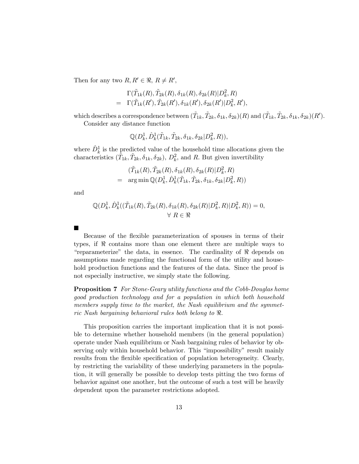Then for any two  $R, R' \in \mathcal{R}, R \neq R'$ ,

$$
\Gamma(\tilde{T}_{1k}(R), \tilde{T}_{2k}(R), \delta_{1k}(R), \delta_{2k}(R)|D_k^2, R) \n= \Gamma(\tilde{T}_{1k}(R'), \tilde{T}_{2k}(R'), \delta_{1k}(R'), \delta_{2k}(R')|D_k^2, R'),
$$

which describes a correspondence between  $(\tilde{T}_{1k}, \tilde{T}_{2k}, \delta_{1k}, \delta_{2k})(R)$  and  $(\tilde{T}_{1k}, \tilde{T}_{2k}, \delta_{1k}, \delta_{2k})(R')$ .

Consider any distance function

$$
\mathbb{Q}(D_k^1,\hat{D}_k^1(\tilde{T}_{1k},\tilde{T}_{2k},\delta_{1k},\delta_{2k}|D_k^2,R)),
$$

where  $\hat{D}_k^1$  is the predicted value of the household time allocations given the characteristics  $(\tilde{T}_{1k}, \tilde{T}_{2k}, \delta_{1k}, \delta_{2k}), D_k^2$ , and R. But given invertibility

$$
(\tilde{T}_{1k}(R), \tilde{T}_{2k}(R), \delta_{1k}(R), \delta_{2k}(R)|D_k^2, R) = \arg \min \mathbb{Q}(D_k^1, \hat{D}_k^1(\tilde{T}_{1k}, \tilde{T}_{2k}, \delta_{1k}, \delta_{2k}|D_k^2, R))
$$

and

$$
\mathbb{Q}(D_k^1, \hat{D}_k^1((\tilde{T}_{1k}(R), \tilde{T}_{2k}(R), \delta_{1k}(R), \delta_{2k}(R)|D_k^2, R)|D_k^2, R)) = 0, \forall R \in \mathbb{R}
$$

¥

Because of the flexible parameterization of spouses in terms of their types, if  $\Re$  contains more than one element there are multiple ways to "reparameterize" the data, in essence. The cardinality of  $\Re$  depends on assumptions made regarding the functional form of the utility and household production functions and the features of the data. Since the proof is not especially instructive, we simply state the following.

Proposition 7 For Stone-Geary utility functions and the Cobb-Douglas home good production technology and for a population in which both household members supply time to the market, the Nash equilibrium and the symmetric Nash bargaining behavioral rules both belong to  $\Re$ .

This proposition carries the important implication that it is not possible to determine whether household members (in the general population) operate under Nash equilibrium or Nash bargaining rules of behavior by observing only within household behavior. This "impossibility" result mainly results from the flexible specification of population heterogeneity. Clearly, by restricting the variability of these underlying parameters in the population, it will generally be possible to develop tests pitting the two forms of behavior against one another, but the outcome of such a test will be heavily dependent upon the parameter restrictions adopted.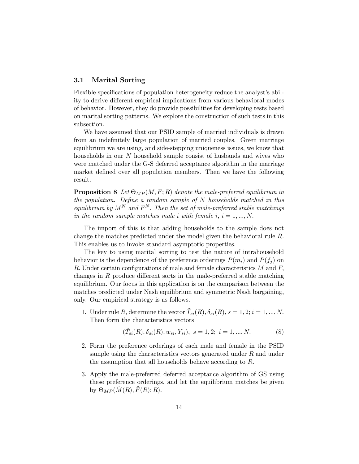#### 3.1 Marital Sorting

Flexible specifications of population heterogeneity reduce the analyst's ability to derive different empirical implications from various behavioral modes of behavior. However, they do provide possibilities for developing tests based on marital sorting patterns. We explore the construction of such tests in this subsection.

We have assumed that our PSID sample of married individuals is drawn from an indefinitely large population of married couples. Given marriage equilibrium we are using, and side-stepping uniqueness issues, we know that households in our N household sample consist of husbands and wives who were matched under the G-S deferred acceptance algorithm in the marriage market defined over all population members. Then we have the following result.

**Proposition 8** Let  $\Theta_{MP}(M, F; R)$  denote the male-preferred equilibrium in the population. Define a random sample of  $N$  households matched in this equilibrium by  $M^N$  and  $F^N$ . Then the set of male-preferred stable matchings in the random sample matches male i with female i,  $i = 1, ..., N$ .

The import of this is that adding households to the sample does not change the matches predicted under the model given the behavioral rule R. This enables us to invoke standard asymptotic properties.

The key to using marital sorting to test the nature of intrahousehold behavior is the dependence of the preference orderings  $P(m_i)$  and  $P(f_i)$  on R. Under certain configurations of male and female characteristics  $M$  and  $F$ , changes in R produce different sorts in the male-preferred stable matching equilibrium. Our focus in this application is on the comparison between the matches predicted under Nash equilibrium and symmetric Nash bargaining, only. Our empirical strategy is as follows.

1. Under rule R, determine the vector  $\tilde{T}_{si}(R)$ ,  $\delta_{si}(R)$ ,  $s = 1, 2; i = 1, ..., N$ . Then form the characteristics vectors

$$
(\tilde{T}_{si}(R), \delta_{si}(R), w_{si}, Y_{si}), s = 1, 2; i = 1, ..., N.
$$
 (8)

- 2. Form the preference orderings of each male and female in the PSID sample using the characteristics vectors generated under  $R$  and under the assumption that all households behave according to R.
- 3. Apply the male-preferred deferred acceptance algorithm of GS using these preference orderings, and let the equilibrium matches be given by  $\Theta_{MP}(\tilde{M}(R), F(R); R)$ .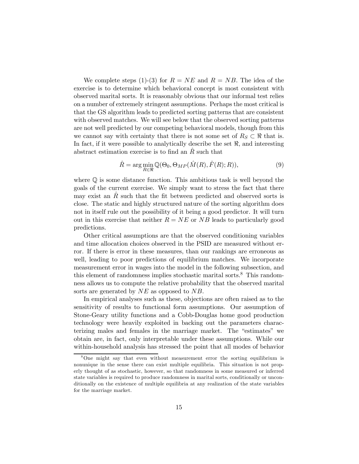We complete steps (1)-(3) for  $R = NE$  and  $R = NB$ . The idea of the exercise is to determine which behavioral concept is most consistent with observed marital sorts. It is reasonably obvious that our informal test relies on a number of extremely stringent assumptions. Perhaps the most critical is that the GS algorithm leads to predicted sorting patterns that are consistent with observed matches. We will see below that the observed sorting patterns are not well predicted by our competing behavioral models, though from this we cannot say with certainty that there is not some set of  $R_S \subset \Re$  that is. In fact, if it were possible to analytically describe the set  $\Re$ , and interesting abstract estimation exercise is to find an  $\ddot{R}$  such that

$$
\hat{R} = \arg\min_{R \in \mathbb{R}} \mathbb{Q}(\Theta_0, \Theta_{MP}(\hat{M}(R), \hat{F}(R); R)),\tag{9}
$$

where Q is some distance function. This ambitious task is well beyond the goals of the current exercise. We simply want to stress the fact that there may exist an  $R$  such that the fit between predicted and observed sorts is close. The static and highly structured nature of the sorting algorithm does not in itself rule out the possibility of it being a good predictor. It will turn out in this exercise that neither  $R = NE$  or NB leads to particularly good predictions.

Other critical assumptions are that the observed conditioning variables and time allocation choices observed in the PSID are measured without error. If there is error in these measures, than our rankings are erroneous as well, leading to poor predictions of equilibrium matches. We incorporate measurement error in wages into the model in the following subsection, and this element of randomness implies stochastic marital sorts.<sup>8</sup> This randomness allows us to compute the relative probability that the observed marital sorts are generated by  $NE$  as opposed to NB.

In empirical analyses such as these, objections are often raised as to the sensitivity of results to functional form assumptions. Our assumption of Stone-Geary utility functions and a Cobb-Douglas home good production technology were heavily exploited in backing out the parameters characterizing males and females in the marriage market. The "estimates" we obtain are, in fact, only interpretable under these assumptions. While our within-household analysis has stressed the point that all modes of behavior

<sup>&</sup>lt;sup>8</sup>One might say that even without measurement error the sorting equilibrium is nonunique in the sense there can exist multiple equilibria. This situation is not properly thought of as stochastic, however, so that randomness in some measured or inferred state variables is required to produce randomness in marital sorts, conditionally or unconditionally on the existence of multiple equilibria at any realization of the state variables for the marriage market.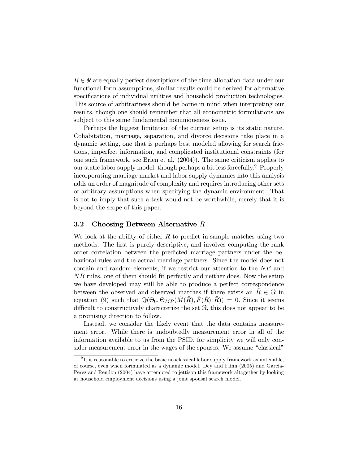$R \in \mathbb{R}$  are equally perfect descriptions of the time allocation data under our functional form assumptions, similar results could be derived for alternative specifications of individual utilities and household production technologies. This source of arbitrariness should be borne in mind when interpreting our results, though one should remember that all econometric formulations are subject to this same fundamental nonuniqueness issue.

Perhaps the biggest limitation of the current setup is its static nature. Cohabitation, marriage, separation, and divorce decisions take place in a dynamic setting, one that is perhaps best modeled allowing for search frictions, imperfect information, and complicated institutional constraints (for one such framework, see Brien et al. (2004)). The same criticism applies to our static labor supply model, though perhaps a bit less forcefully.9 Properly incorporating marriage market and labor supply dynamics into this analysis adds an order of magnitude of complexity and requires introducing other sets of arbitrary assumptions when specifying the dynamic environment. That is not to imply that such a task would not be worthwhile, merely that it is beyond the scope of this paper.

#### 3.2 Choosing Between Alternative  $R$

We look at the ability of either  $R$  to predict in-sample matches using two methods. The first is purely descriptive, and involves computing the rank order correlation between the predicted marriage partners under the behavioral rules and the actual marriage partners. Since the model does not contain and random elements, if we restrict our attention to the NE and NB rules, one of them should fit perfectly and neither does. Now the setup we have developed may still be able to produce a perfect correspondence between the observed and observed matches if there exists an  $R \in \mathbb{R}$  in equation (9) such that  $\mathbb{Q}(\Theta_0, \Theta_{MP}(M(R), F(R); R)) = 0$ . Since it seems difficult to constructively characterize the set  $\Re$ , this does not appear to be a promising direction to follow.

Instead, we consider the likely event that the data contains measurement error. While there is undoubtedly measurement error in all of the information available to us from the PSID, for simplicity we will only consider measurement error in the wages of the spouses. We assume "classical"

 $9$ It is reasonable to criticize the basic neoclassical labor supply framework as untenable, of course, even when formulated as a dynamic model. Dey and Flinn (2005) and Garcia-Perez and Rendon (2004) have attempted to jettison this framework altogether by looking at household employment decisions using a joint spousal search model.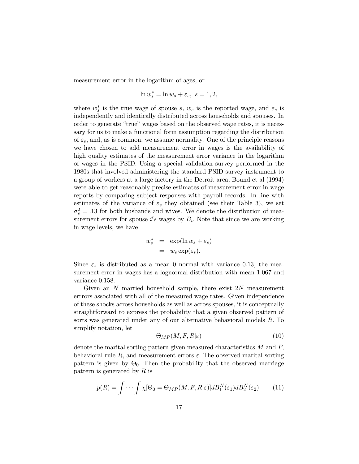measurement error in the logarithm of ages, or

$$
\ln w_s^* = \ln w_s + \varepsilon_s, \ s = 1, 2,
$$

where  $w_s^*$  is the true wage of spouse s,  $w_s$  is the reported wage, and  $\varepsilon_s$  is independently and identically distributed across households and spouses. In order to generate "true" wages based on the observed wage rates, it is necessary for us to make a functional form assumption regarding the distribution of  $\varepsilon_s$ , and, as is common, we assume normality. One of the principle reasons we have chosen to add measurement error in wages is the availability of high quality estimates of the measurement error variance in the logarithm of wages in the PSID. Using a special validation survey performed in the 1980s that involved administering the standard PSID survey instrument to a group of workers at a large factory in the Detroit area, Bound et al (1994) were able to get reasonably precise estimates of measurement error in wage reports by comparing subject responses with payroll records. In line with estimates of the variance of  $\varepsilon_s$  they obtained (see their Table 3), we set  $\sigma_s^2 = .13$  for both husbands and wives. We denote the distribution of measurement errors for spouse  $i's$  wages by  $B_i$ . Note that since we are working in wage levels, we have

$$
w_s^* = \exp(\ln w_s + \varepsilon_s)
$$
  
=  $w_s \exp(\varepsilon_s)$ .

Since  $\varepsilon_s$  is distributed as a mean 0 normal with variance 0.13, the measurement error in wages has a lognormal distribution with mean 1.067 and variance 0.158.

Given an  $N$  married household sample, there exist  $2N$  measurement errrors associated with all of the measured wage rates. Given independence of these shocks across households as well as across spouses, it is conceptually straightforward to express the probability that a given observed pattern of sorts was generated under any of our alternative behavioral models R. To simplify notation, let

$$
\Theta_{MP}(M, F, R|\varepsilon) \tag{10}
$$

denote the marital sorting pattern given measured characteristics  $M$  and  $F$ , behavioral rule R, and measurement errors  $\varepsilon$ . The observed marital sorting pattern is given by  $\Theta_0$ . Then the probability that the observed marriage pattern is generated by R is

$$
p(R) = \int \cdots \int \chi[\Theta_0 = \Theta_{MP}(M, F, R|\varepsilon)] dB_1^N(\varepsilon_1) dB_2^N(\varepsilon_2). \tag{11}
$$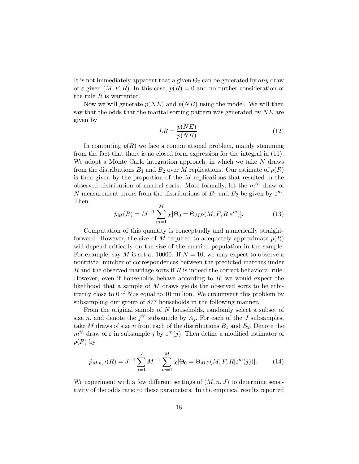It is not immediately apparent that a given  $\Theta_0$  can be generated by any draw of  $\varepsilon$  given  $(M, F, R)$ . In this case,  $p(R)=0$  and no further consideration of the rule  $R$  is warranted.

Now we will generate  $p(NE)$  and  $p(NB)$  using the model. We will then say that the odds that the marital sorting pattern was generated by  $NE$  are given by

$$
LR = \frac{p(NE)}{p(NB)}.\tag{12}
$$

In computing  $p(R)$  we face a computational problem, mainly stemming from the fact that there is no closed form expression for the integral in (11). We adopt a Monte Carlo integration approach, in which we take N draws from the distributions  $B_1$  and  $B_2$  over M replications. Our estimate of  $p(R)$ is then given by the proportion of the M replications that resulted in the observed distribution of marital sorts. More formally, let the  $m<sup>th</sup>$  draw of N measurement errors from the distributions of  $B_1$  and  $B_2$  be given by  $\varepsilon^m$ . Then

$$
\hat{p}_M(R) = M^{-1} \sum_{m=1}^M \chi[\Theta_0 = \Theta_{MP}(M, F, R | \varepsilon^m)]. \tag{13}
$$

Computation of this quantity is conceptually and numerically straightforward. However, the size of M required to adequately approximate  $p(R)$ will depend critically on the size of the married population in the sample. For example, say M is set at 10000. If  $N = 10$ , we may expect to observe a nontrivial number of correspondences between the predicted matches under  $R$  and the observed marriage sorts if  $R$  is indeed the correct behavioral rule. However, even if households behave according to  $R$ , we would expect the likelihood that a sample of  $M$  draws yields the observed sorts to be arbitrarily close to 0 if N.is equal to 10 million. We circumvent this problem by subsampling our group of 877 households in the following manner.

From the original sample of  $N$  households, randomly select a subset of size n, and denote the  $j<sup>th</sup>$  subsample by  $A_j$ . For each of the J subsamples, take M draws of size n from each of the distributions  $B_1$  and  $B_2$ . Denote the  $m<sup>th</sup>$  draw of  $\varepsilon$  in subsample j by  $\varepsilon^{m}(i)$ . Then define a modified estimator of  $p(R)$  by

$$
\hat{p}_{M,n,J}(R) = J^{-1} \sum_{j=1}^{J} M^{-1} \sum_{m=1}^{M} \chi[\Theta_0 = \Theta_{MP}(M, F, R | \varepsilon^m(j))]. \tag{14}
$$

We experiment with a few different settings of  $(M, n, J)$  to determine sensitivity of the odds ratio to these parameters. In the empirical results reported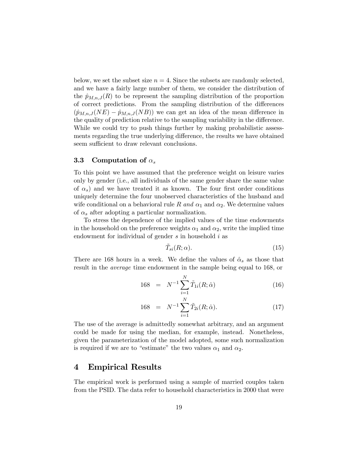below, we set the subset size  $n = 4$ . Since the subsets are randomly selected, and we have a fairly large number of them, we consider the distribution of the  $\hat{p}_{M,n,J}(R)$  to be represent the sampling distribution of the proportion of correct predictions. From the sampling distribution of the differences  $(\hat{p}_{M,n,J}(NE) - \hat{p}_{M,n,J}(NB))$  we can get an idea of the mean difference in the quality of prediction relative to the sampling variability in the difference. While we could try to push things further by making probabilistic assessments regarding the true underlying difference, the results we have obtained seem sufficient to draw relevant conclusions.

#### **3.3** Computation of  $\alpha_s$

To this point we have assumed that the preference weight on leisure varies only by gender (i.e., all individuals of the same gender share the same value of  $\alpha_s$ ) and we have treated it as known. The four first order conditions uniquely determine the four unobserved characteristics of the husband and wife conditional on a behavioral rule R and  $\alpha_1$  and  $\alpha_2$ . We determine values of  $\alpha_s$  after adopting a particular normalization.

To stress the dependence of the implied values of the time endowments in the household on the preference weights  $\alpha_1$  and  $\alpha_2$ , write the implied time endowment for individual of gender  $s$  in household  $i$  as

$$
\tilde{T}_{si}(R; \alpha). \tag{15}
$$

There are 168 hours in a week. We define the values of  $\hat{\alpha}_s$  as those that result in the average time endowment in the sample being equal to 168, or

168 = 
$$
N^{-1} \sum_{i=1}^{N} \tilde{T}_{1i}(R; \hat{\alpha})
$$
 (16)

168 = 
$$
N^{-1} \sum_{i=1}^{N} \tilde{T}_{2i}(R; \hat{\alpha}).
$$
 (17)

The use of the average is admittedly somewhat arbitrary, and an argument could be made for using the median, for example, instead. Nonetheless, given the parameterization of the model adopted, some such normalization is required if we are to "estimate" the two values  $\alpha_1$  and  $\alpha_2$ .

### 4 Empirical Results

The empirical work is performed using a sample of married couples taken from the PSID. The data refer to household characteristics in 2000 that were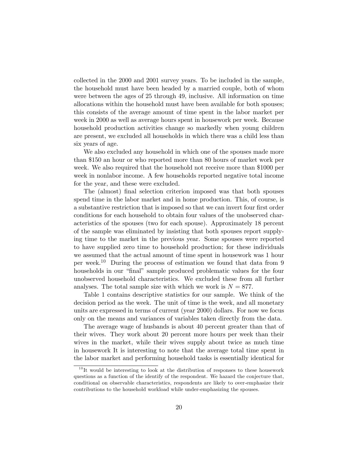collected in the 2000 and 2001 survey years. To be included in the sample, the household must have been headed by a married couple, both of whom were between the ages of 25 through 49, inclusive. All information on time allocations within the household must have been available for both spouses; this consists of the average amount of time spent in the labor market per week in 2000 as well as average hours spent in housework per week. Because household production activities change so markedly when young children are present, we excluded all households in which there was a child less than six years of age.

We also excluded any household in which one of the spouses made more than \$150 an hour or who reported more than 80 hours of market work per week. We also required that the household not receive more than \$1000 per week in nonlabor income. A few households reported negative total income for the year, and these were excluded.

The (almost) final selection criterion imposed was that both spouses spend time in the labor market and in home production. This, of course, is a substantive restriction that is imposed so that we can invert four first order conditions for each household to obtain four values of the unobserved characteristics of the spouses (two for each spouse). Approximately 18 percent of the sample was eliminated by insisting that both spouses report supplying time to the market in the previous year. Some spouses were reported to have supplied zero time to household production; for these individuals we assumed that the actual amount of time spent in housework was 1 hour per week.<sup>10</sup> During the process of estimation we found that data from 9 households in our "final" sample produced problematic values for the four unobserved household characteristics. We excluded these from all further analyses. The total sample size with which we work is  $N = 877$ .

Table 1 contains descriptive statistics for our sample. We think of the decision period as the week. The unit of time is the week, and all monetary units are expressed in terms of current (year 2000) dollars. For now we focus only on the means and variances of variables taken directly from the data.

The average wage of husbands is about 40 percent greater than that of their wives. They work about 20 percent more hours per week than their wives in the market, while their wives supply about twice as much time in housework It is interesting to note that the average total time spent in the labor market and performing household tasks is essentially identical for

 $10$  It would be interesting to look at the distribution of responses to these housework questions as a function of the identify of the respondent. We hazard the conjecture that, conditional on observable characteristics, respondents are likely to over-emphasize their contributions to the household workload while under-emphasizing the spouses.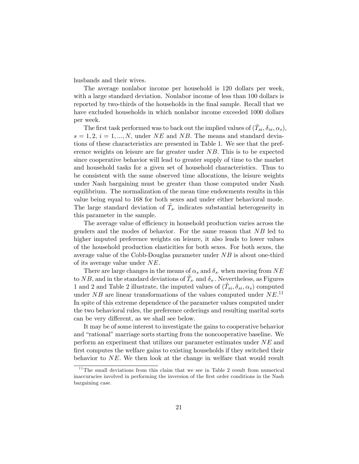husbands and their wives.

The average nonlabor income per household is 120 dollars per week, with a large standard deviation. Nonlabor income of less than 100 dollars is reported by two-thirds of the households in the final sample. Recall that we have excluded households in which nonlabor income exceeded 1000 dollars per week.

The first task performed was to back out the implied values of  $(\tilde{T}_{si}, \delta_{si}, \alpha_s)$ ,  $s = 1, 2, i = 1, ..., N$ , under NE and NB. The means and standard deviations of these characteristics are presented in Table 1. We see that the preference weights on leisure are far greater under NB. This is to be expected since cooperative behavior will lead to greater supply of time to the market and household tasks for a given set of household characteristics. Thus to be consistent with the same observed time allocations, the leisure weights under Nash bargaining must be greater than those computed under Nash equilibrium. The normalization of the mean time endowments results in this value being equal to 168 for both sexes and under either behavioral mode. The large standard deviation of  $\tilde{T}_s$ , indicates substantial heterogeneity in this parameter in the sample.

The average value of efficiency in household production varies across the genders and the modes of behavior. For the same reason that NB led to higher imputed preference weights on leisure, it also leads to lower values of the household production elasticities for both sexes. For both sexes, the average value of the Cobb-Douglas parameter under  $NB$  is about one-third of its average value under NE.

There are large changes in the means of  $\alpha_s$  and  $\delta_s$ , when moving from  $NE$ to NB, and in the standard deviations of  $\tilde{T}_s$ , and  $\delta_s$ . Nevertheless, as Figures 1 and 2 and Table 2 illustrate, the imputed values of  $(\tilde{T}_{si}, \delta_{si}, \alpha_s)$  computed under NB are linear transformations of the values computed under  $NE^{11}$ In spite of this extreme dependence of the parameter values computed under the two behavioral rules, the preference orderings and resulting marital sorts can be very different, as we shall see below.

It may be of some interest to investigate the gains to cooperative behavior and "rational" marriage sorts starting from the noncooperative baseline. We perform an experiment that utilizes our parameter estimates under  $NE$  and first computes the welfare gains to existing households if they switched their behavior to  $NE$ . We then look at the change in welfare that would result

 $11$ <sup>The small deviations from this claim that we see in Table 2 result from numerical</sup> inaccuracies involved in performing the inversion of the first order conditions in the Nash bargaining case.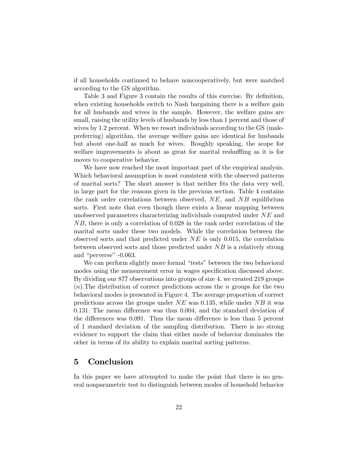if all households continued to behave noncooperatively, but were matched according to the GS algorithm.

Table 3 and Figure 3 contain the results of this exercise. By definition, when existing households switch to Nash bargaining there is a welfare gain for all husbands and wives in the sample. However, the welfare gains are small, raising the utility levels of husbands by less than 1 percent and those of wives by 1.2 percent. When we resort individuals according to the GS (malepreferring) algorithm, the average welfare gains are identical for husbands but about one-half as much for wives. Roughly speaking, the scope for welfare improvements is about as great for marital reshuffling as it is for moves to cooperative behavior.

We have now reached the most important part of the empirical analysis. Which behavioral assumption is most consistent with the observed patterns of marital sorts? The short answer is that neither fits the data very well, in large part for the reasons given in the previous section. Table 4 contains the rank order correlations between observed,  $NE$ , and  $NB$  equilibrium sorts. First note that even though there exists a linear mapping between unobserved parameters characterizing individuals computed under  $NE$  and NB, there is only a correlation of 0.028 in the rank order correlation of the marital sorts under these two models. While the correlation between the observed sorts and that predicted under  $NE$  is only 0.015, the correlation between observed sorts and those predicted under  $NB$  is a relatively strong and "perverse" -0.063.

We can perform slightly more formal "tests" between the two behavioral modes using the measurement error in wages specification discussed above. By dividing our 877 observations into groups of size 4, we created 219 groups  $(n)$ . The distribution of correct predictions across the n groups for the two behavioral modes is presented in Figure 4. The average proportion of correct predictions across the groups under  $NE$  was 0.135, while under  $NB$  it was 0.131. The mean difference was thus 0.004, and the standard deviation of the differences was 0.091. Thus the mean difference is less than 5 percent of 1 standard deviation of the sampling distribution. There is no strong evidence to support the claim that either mode of behavior dominates the other in terms of its ability to explain marital sorting patterns.

### 5 Conclusion

In this paper we have attempted to make the point that there is no general nonparametric test to distinguish between modes of household behavior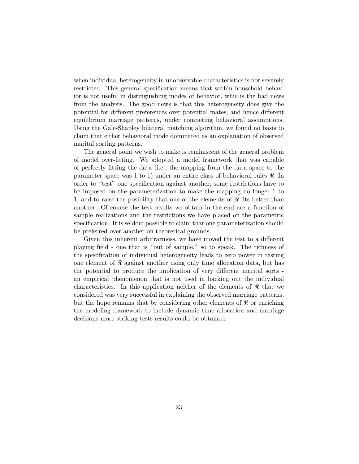when individual heterogeneity in unobservable characteristics is not severely restricted. This general specification means that within household behavior is not useful in distinguishing modes of behavior, whic is the bad news from the analysis. The good news is that this heterogeneity does give the potential for different preferences over potential mates, and hence different equilibrium marriage patterns, under competing behavioral assumptions. Using the Gale-Shapley bilateral matching algorithm, we found no basis to claim that either behavioral mode dominated as an explanation of observed marital sorting patterns.

The general point we wish to make is reminiscent of the general problem of model over-fitting. We adopted a model framework that was capable of perfectly fitting the data (i.e., the mapping from the data space to the parameter space was 1 to 1) under an entire class of behavioral rules  $\Re$ . In order to "test" one specification against another, some restrictions have to be imposed on the parameterization to make the mapping no longer 1 to 1, and to raise the posibility that one of the elements of  $\Re$  fits better than another. Of course the test results we obtain in the end are a function of sample realizations and the restrictions we have placed on the parametric specification. It is seldom possible to claim that one parameterization should be preferred over another on theoretical grounds.

Given this inherent arbitrariness, we have moved the test to a different playing field - one that is "out of sample," so to speak. The richness of the specification of individual heterogeneity leads to zero power in testing one element of  $\Re$  against another using only time allocation data, but has the potential to produce the implication of very different marital sorts an empirical phenomenon that is not used in backing out the individual characteristics. In this application neither of the elements of  $\Re$  that we considered was very successful in explaining the observed marriage patterns, but the hope remains that by considering other elements of  $\Re$  or enriching the modeling framework to include dynamic time allocation and marriage decisions more striking tests results could be obtained.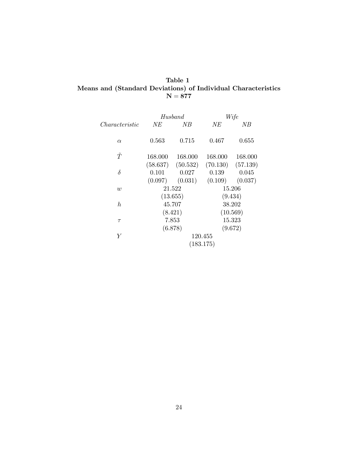## Table 1 Means and (Standard Deviations) of Individual Characteristics  $\mathbf{N=877}$

|                | $H$ usband         |                                | Wife               |                   |  |
|----------------|--------------------|--------------------------------|--------------------|-------------------|--|
| Characteristic | NE                 | NВ                             | NE                 | NВ                |  |
| $\alpha$       | 0.563              | 0.715                          | 0.467              | 0.655             |  |
| $\tilde{T}$    | 168.000            | 168.000                        | 168.000            | 168.000           |  |
| $\delta$       | 0.101              | $(58.637)$ $(50.532)$<br>0.027 | (70.130)<br>0.139  | (57.139)<br>0.045 |  |
| $\overline{w}$ | (0.097)            | (0.031)<br>21.522              | (0.109)            | (0.037)<br>15.206 |  |
| $\hbar$        | (13.655)<br>45.707 |                                | (9.434)<br>38.202  |                   |  |
| $\tau$         | (8.421)<br>7.853   |                                | (10.569)<br>15.323 |                   |  |
| Y              | (6.878)            |                                | 120.455            | (9.672)           |  |
|                | (183.175)          |                                |                    |                   |  |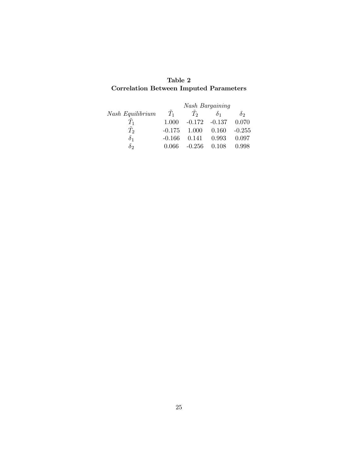# Table 2 Correlation Between Imputed Parameters

|                  | <b>Nash Bargaining</b> |          |            |            |
|------------------|------------------------|----------|------------|------------|
| Nash Equilibrium | $T_1$                  | $T_2$    | $\delta_1$ | $\delta$ 2 |
| $T_{1}$          | 1.000                  | $-0.172$ | $-0.137$   | 0.070      |
| $T_2$            | $-0.175$               | 1.000    | 0.160      | $-0.255$   |
| $\delta_1$       | $-0.166$               | 0.141    | 0.993      | 0.097      |
| $\delta$ 2       | 0.066                  | $-0.256$ | 0.108      | 0.998      |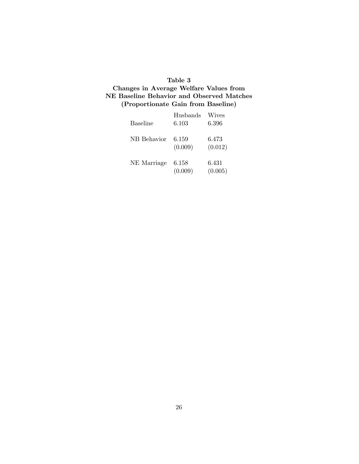### Table 3

# Changes in Average Welfare Values from NE Baseline Behavior and Observed Matches (Proportionate Gain from Baseline)

| <b>Baseline</b> | Husbands<br>6.103 | Wives<br>6.396   |
|-----------------|-------------------|------------------|
| NB Behavior     | 6.159<br>(0.009)  | 6.473<br>(0.012) |
| NE Marriage     | 6.158<br>(0.009)  | 6.431<br>(0.005) |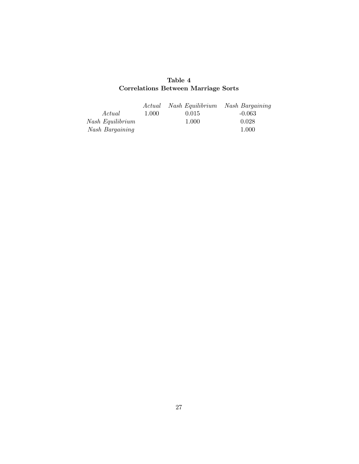# Table 4 Correlations Between Marriage Sorts

|                  | Actual | Nash Equilibrium Nash Bargaining |          |
|------------------|--------|----------------------------------|----------|
| Actual           | 1.000  | 0.015                            | $-0.063$ |
| Nash Equilibrium |        | 1.000                            | 0.028    |
| Nash Bargaining  |        |                                  | 1.000    |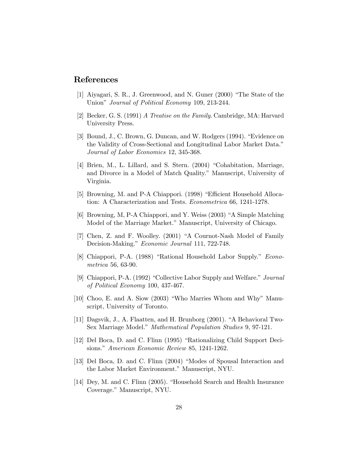## References

- [1] Aiyagari, S. R., J. Greenwood, and N. Guner (2000) "The State of the Union" Journal of Political Economy 109, 213-244.
- [2] Becker, G. S. (1991) A Treatise on the Family. Cambridge, MA: Harvard University Press.
- [3] Bound, J., C. Brown, G. Duncan, and W. Rodgers (1994). "Evidence on the Validity of Cross-Sectional and Longitudinal Labor Market Data." Journal of Labor Economics 12, 345-368.
- [4] Brien, M., L. Lillard, and S. Stern. (2004) "Cohabitation, Marriage, and Divorce in a Model of Match Quality." Manuscript, University of Virginia.
- [5] Browning, M. and P-A Chiappori. (1998) "Efficient Household Allocation: A Characterization and Tests. Econometrica 66, 1241-1278.
- [6] Browning, M, P-A Chiappori, and Y. Weiss (2003) "A Simple Matching Model of the Marriage Market." Manuscript, University of Chicago.
- [7] Chen, Z. and F. Woolley. (2001) "A Cournot-Nash Model of Family Decision-Making." Economic Journal 111, 722-748.
- [8] Chiappori, P-A. (1988) "Rational Household Labor Supply." Econometrica 56, 63-90.
- [9] Chiappori, P-A. (1992) "Collective Labor Supply and Welfare." Journal of Political Economy 100, 437-467.
- [10] Choo, E. and A. Siow (2003) "Who Marries Whom and Why" Manuscript, University of Toronto.
- [11] Dagsvik, J., A. Flaatten, and H. Brunborg (2001). "A Behavioral Two-Sex Marriage Model." Mathematical Population Studies 9, 97-121.
- [12] Del Boca, D. and C. Flinn (1995) "Rationalizing Child Support Decisions." American Economic Review 85, 1241-1262.
- [13] Del Boca, D. and C. Flinn (2004) "Modes of Spousal Interaction and the Labor Market Environment." Manuscript, NYU.
- [14] Dey, M. and C. Flinn (2005). "Household Search and Health Insurance Coverage." Manuscript, NYU.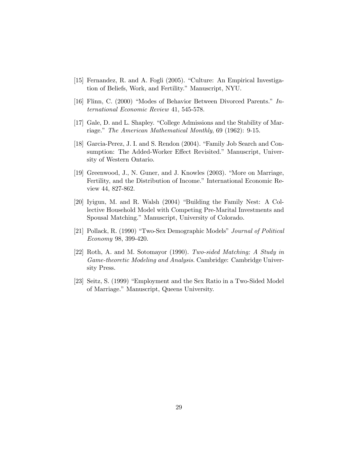- [15] Fernandez, R. and A. Fogli (2005). "Culture: An Empirical Investigation of Beliefs, Work, and Fertility." Manuscript, NYU.
- [16] Flinn, C. (2000) "Modes of Behavior Between Divorced Parents." International Economic Review 41, 545-578.
- [17] Gale, D. and L. Shapley. "College Admissions and the Stability of Marriage." The American Mathematical Monthly, 69 (1962): 9-15.
- [18] Garcia-Perez, J. I. and S. Rendon (2004). "Family Job Search and Consumption: The Added-Worker Effect Revisited." Manuscript, University of Western Ontario.
- [19] Greenwood, J., N. Guner, and J. Knowles (2003). "More on Marriage, Fertility, and the Distribution of Income." International Economic Review 44, 827-862.
- [20] Iyigun, M. and R. Walsh (2004) "Building the Family Nest: A Collective Household Model with Competing Pre-Marital Investments and Spousal Matching." Manuscript, University of Colorado.
- [21] Pollack, R. (1990) "Two-Sex Demographic Models" Journal of Political Economy 98, 399-420.
- [22] Roth, A. and M. Sotomayor (1990). Two-sided Matching; A Study in Game-theoretic Modeling and Analysis. Cambridge: Cambridge University Press.
- [23] Seitz, S. (1999) "Employment and the Sex Ratio in a Two-Sided Model of Marriage." Manuscript, Queens University.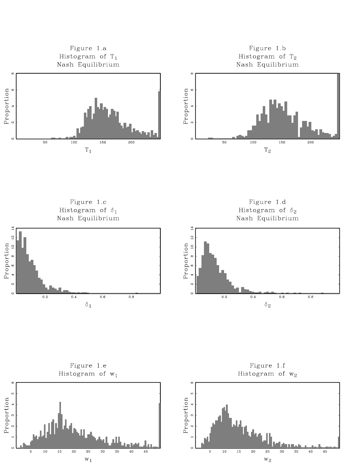

Figure 1.c Histogram of  $\delta_1$ Nash Equilibrium

Proportion<br> $4\quad 6\quad 8\quad 10\quad 12\quad 14$ 

 $\infty$ 

 $\circ$ 

Figure 1.d Histogram of  $\delta_2$ Nash Equilibrium



 $0.2$  $0.4$  $0.6$  $0.8\,$  $\delta_2$ 

Figure 1.e Histogram of  $w_1$ 



Figure 1.f Histogram of  $w_2$ 

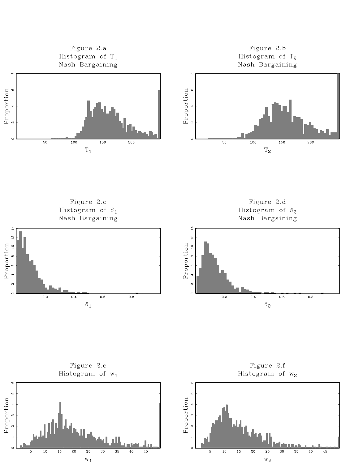

Figure 2.c Histogram of  $\delta_1$ Nash Bargaining

Figure 2.d Histogram of  $\delta_2$ Nash Bargaining





Figure 2.e Histogram of  $w_1$ 



Figure 2.f Histogram of  $w_2$ 

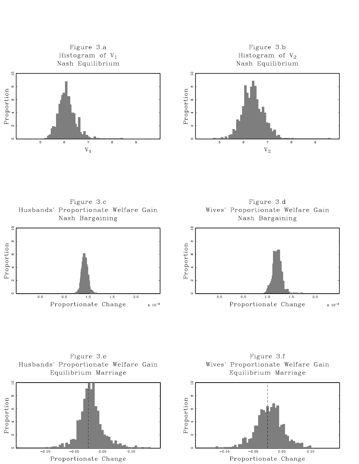



 $-0.05$ 

Proportionate Change

 $-0.15$ 

 $0.05$ 

 $0.15$ 

 $-0.05$ 

Proportionate Change

 $-0.15$ 

 $0.05$ 

 $0.15$